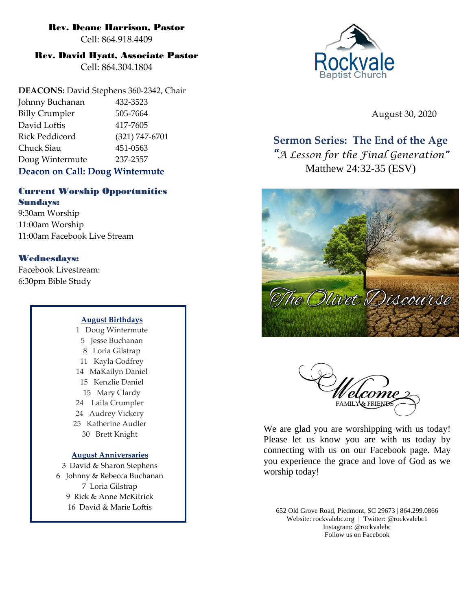#### Rev. Deane Harrison, Pastor

Cell: 864.918.4409

## Rev. David Hyatt, Associate Pastor

Cell: 864.304.1804

**DEACONS:** David Stephens 360-2342, Chair Johnny Buchanan 432-3523 Billy Crumpler 505-7664 David Loftis 417-7605 Rick Peddicord (321) 747-6701 Chuck Siau 451-0563 Doug Wintermute 237-2557 **Deacon on Call: Doug Wintermute**

# Current Worship Opportunities

Sundays: 9:30am Worship 11:00am Worship 11:00am Facebook Live Stream

## Wednesdays:

Facebook Livestream: 6:30pm Bible Study

#### **August Birthdays**

1 Doug Wintermute 5 Jesse Buchanan 8 Loria Gilstrap 11 Kayla Godfrey 14 MaKailyn Daniel 15 Kenzlie Daniel 15 Mary Clardy 24 Laila Crumpler 24 Audrey Vickery 25 Katherine Audler 30 Brett Knight

#### **August Anniversaries**

3 David & Sharon Stephens 6 Johnny & Rebecca Buchanan 7 Loria Gilstrap 9 Rick & Anne McKitrick 16 David & Marie Loftis



August 30, 2020

# **Sermon Series: The End of the Age**

*"A Lesson for the Final Generation"*  Matthew 24:32-35 (ESV)





We are glad you are worshipping with us today! Please let us know you are with us today by connecting with us on our Facebook page. May you experience the grace and love of God as we worship today!

652 Old Grove Road, Piedmont, SC 29673 | 864.299.0866 Website: rockvalebc.org *|* Twitter: @rockvalebc1 Instagram: @rockvalebc Follow us on Facebook